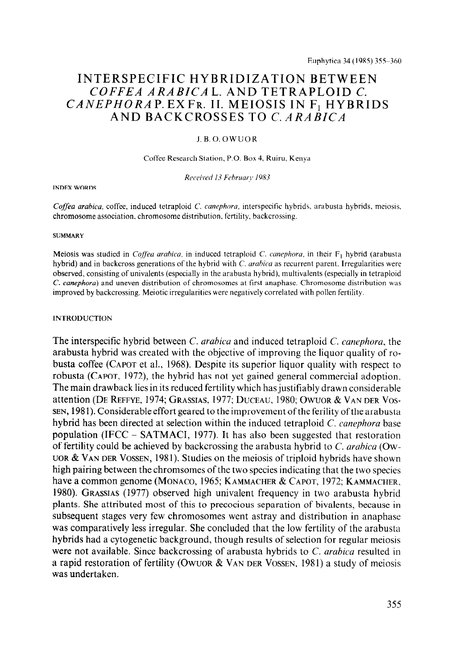# INTERSPECIFIC HYBRIDIZATION BETWEEN COFFEA ARABICA L. AND TETRAPLOID C. CANEPHORAP. EXFR. II. MEIOSIS IN F<sub>1</sub> HYBRIDS AND BACKCROSSES TO C. ARABICA

## J.B.O.OWUOR

#### Coffee Research Station, P.O. Box 4, Ruiru, Kenya

#### Received 13 February 1983

#### **INDEX WORDS**

Coffea arabica, coffee, induced tetraploid C. canephora, interspecific hybrids, arabusta hybrids, meiosis, chromosome association. chromosome distribution. fertility, backcrossing.

#### **SUMMARY**

Meiosis was studied in Coffea arabica, in induced tetraploid C. canephora, in their  $F_1$  hybrid (arabusta hybrid) and in backcross generations of the hybrid with  $C$ . arabica as recurrent parent. Irregularities were observed, consisting of univalents (especially in the arabusta hybrid). multivalents (especially in tetraploid C. canephora) and uneven distribution of chromosomes at first anaphase. Chromosome distribution was improved by backcrossing. Meiotic irregularities were negatively correlated with pollen fertility.

## **INTRODUCTION**

The interspecific hybrid between C. arabica and induced tetraploid C. canephora, the arabusta hybrid was created with the objective of improving the liquor quality of robusta coffee (CAPOT et al., 1968). Despite its superior liquor quality with respect to robusta (CAPOT, 1972), the hybrid has not yet gained general commercial adoption. The main drawback lies in its reduced fertility which has justifiably drawn considerable attention (DE REFFYE, 1974; GRASSIAS, 1977; DUCEAU, 1980; OWUOR & VAN DER Vos-SEN, 1981). Considerable effort geared to the improvement of the ferility of the arabusta hybrid has been directed at selection within the induced tetraploid C. canephora base population (IFCC - SATMACI, 1977). It has also been suggested that restoration of fertility could be achieved by backcrossing the arabusta hybrid to C. arahica (Ow-UOR & VAN DER VOSSEN, 1981). Studies on the meiosis of triploid hybrids have shown high pairing between the chromsomes of the two species indicating that the two species have a common genome (MONACO, 1965; KAMMACHER & CAPOT, 1972; KAMMACHER, 1980). GRASSIAS (1977) observed high univalent frequency in two arabusta hybrid plants. She attributed most of this to precocious separation of bivalents, because in subsequent stages very few chromosomes went astray and distribution in anaphase was comparatively less irregular. She concluded that the low fertility of the arabusta hybrids had a cytogenetic background, though results of selection for regular meiosis were not available. Since backcrossing of arabusta hybrids to C. *arabica* resulted in a rapid restoration of fertility (OWUOR & VAN DER VOSSEN, 1981) a study of meiosis was undertaken.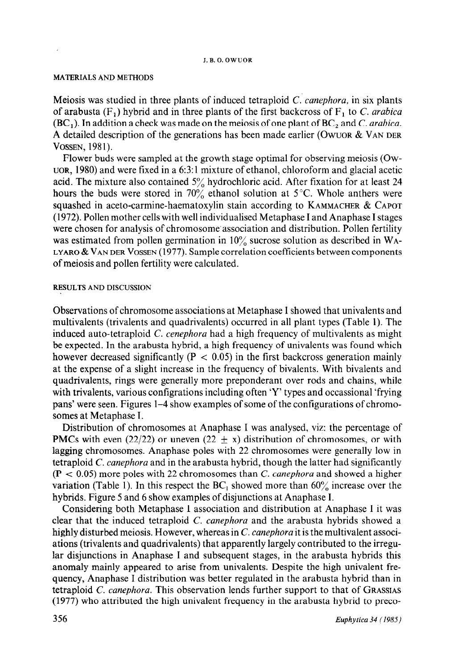#### J. B. 0. OWUOR

## MATERIALS AND METHODS

Meiosis was studied in three plants of induced tetraploid  $C$ . *canephora*, in six plants of arabusta  $(F_1)$  hybrid and in three plants of the first backcross of  $F_1$  to C. arabica  $(BC<sub>1</sub>)$ . In addition a check was made on the meiosis of one plant of  $BC<sub>2</sub>$  and C. arabica. A detailed description of the generations has been made earlier (OWUOR & VAN DER VOSSEN, 1981).

Flower buds were sampled at the growth stage optimal for observing meiosis (Ow-UOR, 1980) and were fixed in a 6:3: 1 mixture of ethanol, chloroform and glacial acetic acid. The mixture also contained  $5\%$  hydrochloric acid. After fixation for at least 24 hours the buds were stored in  $70\%$  ethanol solution at 5°C. Whole anthers were squashed in aceto-carmine-haematoxylin stain according to KAMMACHER & CAPOT (1972). Pollen mother cells with well individualised Metaphase I and Anaphase I stages were chosen for analysis of chromosome association and distribution. Pollen fertility was estimated from pollen germination in  $10\%$  sucrose solution as described in WA-LYARO & VAN DER VOSSEN (1977). Sample correlation coefficients between components of meiosis and pollen fertility were calculated.

## RESULTS AND DISCUSSION

Observations of chromosome associations at Metaphase I showed that univalents and multivalents (trivalents and quadrivalents) occurred in all plant types (Table 1). The induced auto-tetraploid C. cenephora had a high frequency of multivalents as might be expected. In the arabusta hybrid, a high frequency of univalents was found which however decreased significantly ( $P < 0.05$ ) in the first backcross generation mainly at the expense of a slight increase in the frequency of bivalents. With bivalents and quadrivalents, rings were generally more preponderant over rods and chains, while with trivalents, various configrations including often 'Y' types and occassional 'frying pans' were seen. Figures l-4 show examples of some of the configurations of chromosomes at Metaphase I.

Distribution of chromosomes at Anaphase I was analysed, viz: the percentage of **PMCs** with even (22/22) or uneven (22  $\pm$  x) distribution of chromosomes, or with lagging chromosomes. Anaphase poles with 22 chromosomes were generally low in tetraploid C. canephora and in the arabusta hybrid, though the latter had significantly  $(P < 0.05)$  more poles with 22 chromosomes than C. canephora and showed a higher variation (Table 1). In this respect the  $BC_1$  showed more than 60% increase over the hybrids. Figure 5 and 6 show examples of disjunctions at Anaphase I.

Considering both Metaphase I association and distribution at Anaphase I it was clear that the induced tetraploid C. *canephora* and the arabusta hybrids showed a highly disturbed meiosis. However, whereas in C. canephora it is the multivalent associations (trivalents and quadrivalents) that apparently largely contributed to the irregular disjunctions in Anaphase I and subsequent stages, in the arabusta hybrids this anomaly mainly appeared to arise from univalents. Despite the high univalent frequency, Anaphase I distribution was better regulated in the arabusta hybrid than in tetraploid  $C$ . canephora. This observation lends further support to that of GRASSIAS (1977) who attributed the high univalent frequency in the arabusta hybrid to preco-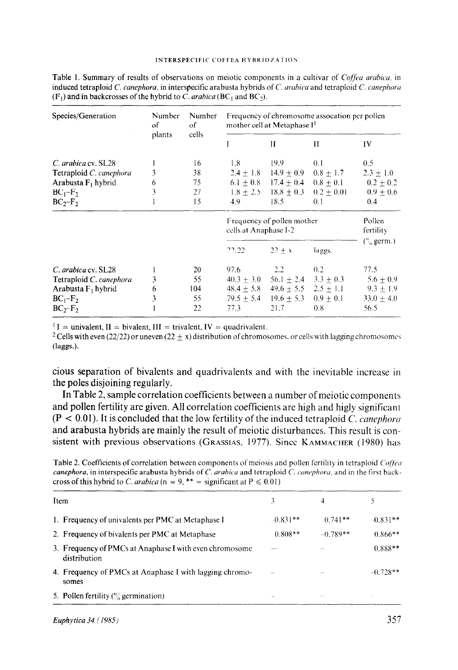| Species/Generation      | Number<br>of<br>plants | Number<br>οf<br>cells | Frequency of chromosome assocation per pollen<br>mother cell at Metaphase I <sup>1</sup> |                              |               |                       |  |
|-------------------------|------------------------|-----------------------|------------------------------------------------------------------------------------------|------------------------------|---------------|-----------------------|--|
|                         |                        |                       |                                                                                          | Ħ                            | Ħ             | IV.                   |  |
| C. arabica cv. SL28     |                        | 16                    | 1.8                                                                                      | 19.9                         | 0.1           | 0.5                   |  |
| Tetraploid C. canephora | 3                      | 38                    |                                                                                          | $2.4 \pm 1.8$ 14.9 $\pm$ 0.9 | $0.8 \pm 1.7$ | $2.3 \pm 1.0$         |  |
| Arabusta $F_1$ hybrid   | 6                      | 75                    |                                                                                          | $6.1 \pm 0.8$ 17.4 $\pm$ 0.4 | $0.8 + 0.1$   | $0.2 \pm 0.2$         |  |
| $BC_1-F_2$              | 3                      | 27                    | $1.8 \pm 2.5$                                                                            | $18.8 + 0.3$                 | $0.2 + 0.01$  | $0.9 + 0.6$           |  |
| $BC_2-F_2$              |                        | 15                    | 4.9                                                                                      | 18.5                         | 0.1           | 0.4                   |  |
|                         |                        |                       | Frequency of pollen mother<br>cells at Anaphase I-2                                      |                              |               | Pollen<br>fertility   |  |
|                         |                        |                       | 22/22                                                                                    | $22 \pm x$                   | laggs.        | $\binom{6}{6}$ germ.) |  |
| C. arabica cv. SL28     |                        | 20                    | 97.6                                                                                     | 2.2                          | 0.2           | 77.5                  |  |
| Tetraploid C. canephora | 3                      | 55                    | $40.3 + 3.0$                                                                             | $56.1 + 2.4$                 | $3.3 + 0.3$   | $5.6 + 0.9$           |  |
| Arabusta $F_1$ hybrid   | 6                      | 104                   | $48.4 \pm 5.8$                                                                           | $49.6 \pm 5.5$ $2.5 \pm 1.1$ |               | $9.3 \pm 1.9$         |  |
| $BC1-F2$                | 3                      | 55                    | $79.5 + 5.4$                                                                             | $19.6 + 5.3$                 | $0.9 + 0.1$   | $33.0 + 4.0$          |  |
| $BC2-F2$                |                        | 22                    | 77.3                                                                                     | 21.7                         | 0.8           | 56.5                  |  |

Table 1. Summary of results of observations on meiotic components in a cultivar of Coffea arabica, in induced tetraploid C. canephora, in interspecific arabusta hybrids of C. arabica and tetraploid C. canephora  $(F_1)$  and in backcrosses of the hybrid to C. arabica (BC<sub>1</sub> and BC<sub>2</sub>).

 $I =$  univalent, II = bivalent, III = trivalent, IV = quadrivalent.

<sup>2</sup> Cells with even (22/22) or uneven (22  $\pm$  x) distribution of chromosomes, or cells with lagging chromosomes  $(\text{lags.})$ .

cious separation of bivalents and quadrivalents and with the inevitable increase in the poles disjoining regularly.

In Table 2, sample correlation coefficients between a number of meiotic components and pollen fertility are given. All correlation coefficients are high and higly significant  $(P < 0.01)$ . It is concluded that the low fertility of the induced tetraploid C. canephora and arabusta hybrids are mainly the result of meiotic disturbances. This result is consistent with previous observations (GRASSIAS, 1977). Since KAMMACHER (1980) has

Table 2. Coefficients of correlation between components of meiosis and pollen fertility in tetraploid Coffeu canephora, in interspecific arabusta hybrids of C. arabica and tetraploid C. canephora, and in the first backcross of this hybrid to C. arabica (n = 9, \*\* = significant at  $P \le 0.01$ )

| Item |                                                                         |            | 4          |            |
|------|-------------------------------------------------------------------------|------------|------------|------------|
|      | 1. Frequency of univalents per PMC at Metaphase I                       | $-0.831**$ | $0.741**$  | $-0.831**$ |
|      | 2. Frequency of bivalents per PMC at Metaphase                          | $0.808**$  | $-0.789**$ | $0.866**$  |
|      | 3. Frequency of PMCs at Anaphase I with even chromosome<br>distribution |            |            | $0.888**$  |
|      | 4. Frequency of PMCs at Anaphase I with lagging chromo-<br>somes        |            |            | $-0.728**$ |
|      | 5. Pollen fertility $\frac{6}{2}$ germination)                          |            | $-$        |            |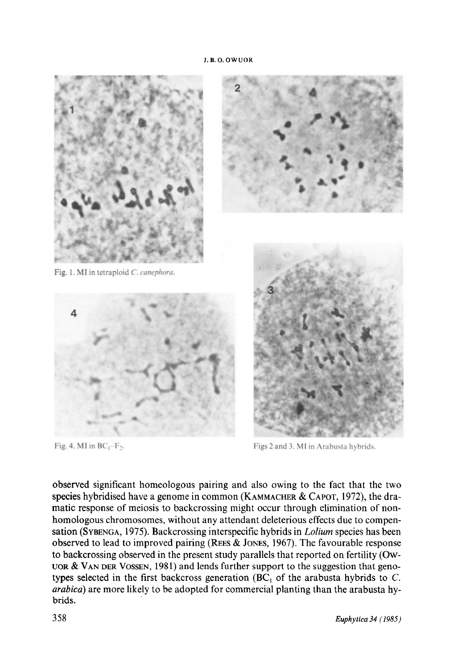

Fig. 4. MI in  $BC_1-F_2$ .

Figs 2 and 3. MI in Arabusta hybrids.

observed significant homeologous pairing and also owing to the fact that the two species hybridised have a genome in common (KAMMACHER & CAPOT, 1972), the dramatic response of meiosis to backcrossing might occur through elimination of nonhomologous chromosomes, without any attendant deleterious effects due to compensation (SYBENGA, 1975). Backcrossing interspecific hybrids in *Lolium* species has been observed to lead to improved pairing (REES  $&$  JONES, 1967). The favourable response to backcrossing observed in the present study parallels that reported on fertility (Ow-UOR  $&$  VAN DER VOSSEN, 1981) and lends further support to the suggestion that genotypes selected in the first backcross generation (BC<sub>1</sub> of the arabusta hybrids to C. arabica) are more likely to be adopted for commercial planting than the arabusta hybrids.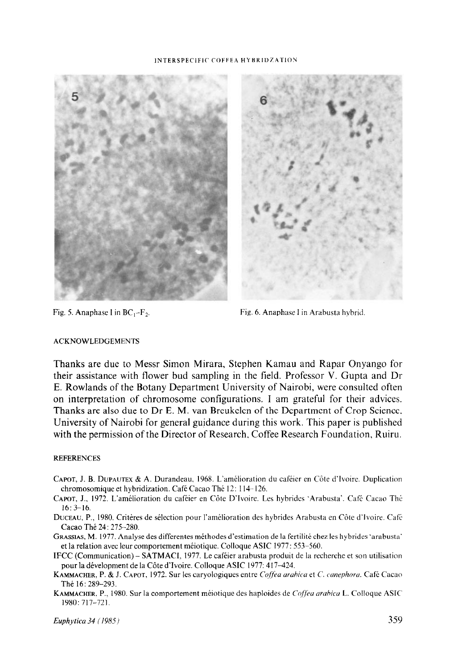#### INTERSPECIFIC COFFEA HYBRIDZATION





Fig. 5. Anaphase I in  $BC_1-F_2$ . Fig. 6. Anaphase I in Arabusta hybrid.

## ACKNOWLEDGEMENTS

Thanks are due to Messr Simon Mirara, Stephen Kamau and Rapar Onyango for their assistance with flower bud sampling in the field. Professor V. Gupta and Dr E. Rowlands of the Botany Department University of Nairobi, were consulted often on interpretation of chromosome configurations. I am grateful for their advices. Thanks are also due to Dr E. M. van Breukelen of the Department of Crop Science. University of Nairobi for general guidance during this work. This paper is published with the permission of the Director of Research. Coffee Research Foundation, Ruiru.

## **REFERENCES**

- CAPOT, J. B. DUPAUTEX & A. Durandeau, 1968. L'amelioration du cafeier en Cote d'lvoire. Duplication chromosomique et hybridization. Café Cacao Thé 12: 114-126.
- CAPOT, J., 1972. L'amélioration du caféier en Côte D'Ivoire. Les hybrides 'Arabusta'. Café Cacao Thé 16: 3-16.
- DUCEAU, P., 1980. Critires de selection pour l'amelioration des hybrides Arabusta en Cote d'lvoire. Cafe Cacao The 24: 275-280.
- GRASSIAS, M. 1977. Analyse des differentes méthodes d'estimation de la fertilité chez les hybrides 'arabusta' et la relation avec leur comportement méiotique. Colloque ASIC 1977: 553-560.
- IFCC (Communication) SATMACI, 1977. Le cafeier arabusta produit de la recherche et son utilisation pour la dévelopment de la Côte d'Ivoire. Colloque ASIC 1977: 417-424.
- KAMMACHER, P. & J. CAPOT, 1972. Sur les caryologiques entre Coffea arabica et C. canephora. Café Cacao The 16: 289-293.
- KAMMACHER, P., 1980. Sur la comportement méiotique des haploides de Coffea arabica L. Colloque ASIC 1980: 717-721.

 $\mathcal{L}$ uphytica 34 (1985)  $\qquad$  359